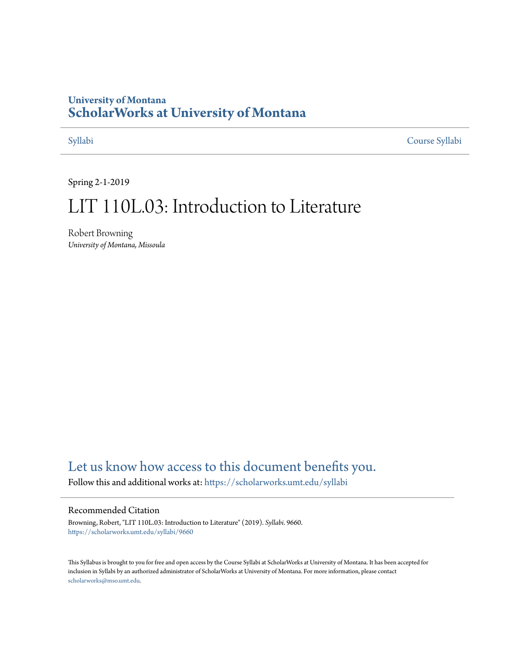#### **University of Montana [ScholarWorks at University of Montana](https://scholarworks.umt.edu?utm_source=scholarworks.umt.edu%2Fsyllabi%2F9660&utm_medium=PDF&utm_campaign=PDFCoverPages)**

[Syllabi](https://scholarworks.umt.edu/syllabi?utm_source=scholarworks.umt.edu%2Fsyllabi%2F9660&utm_medium=PDF&utm_campaign=PDFCoverPages) [Course Syllabi](https://scholarworks.umt.edu/course_syllabi?utm_source=scholarworks.umt.edu%2Fsyllabi%2F9660&utm_medium=PDF&utm_campaign=PDFCoverPages)

Spring 2-1-2019

# LIT 110L.03: Introduction to Literature

Robert Browning *University of Montana, Missoula*

### [Let us know how access to this document benefits you.](https://goo.gl/forms/s2rGfXOLzz71qgsB2)

Follow this and additional works at: [https://scholarworks.umt.edu/syllabi](https://scholarworks.umt.edu/syllabi?utm_source=scholarworks.umt.edu%2Fsyllabi%2F9660&utm_medium=PDF&utm_campaign=PDFCoverPages)

#### Recommended Citation

Browning, Robert, "LIT 110L.03: Introduction to Literature" (2019). *Syllabi*. 9660. [https://scholarworks.umt.edu/syllabi/9660](https://scholarworks.umt.edu/syllabi/9660?utm_source=scholarworks.umt.edu%2Fsyllabi%2F9660&utm_medium=PDF&utm_campaign=PDFCoverPages)

This Syllabus is brought to you for free and open access by the Course Syllabi at ScholarWorks at University of Montana. It has been accepted for inclusion in Syllabi by an authorized administrator of ScholarWorks at University of Montana. For more information, please contact [scholarworks@mso.umt.edu](mailto:scholarworks@mso.umt.edu).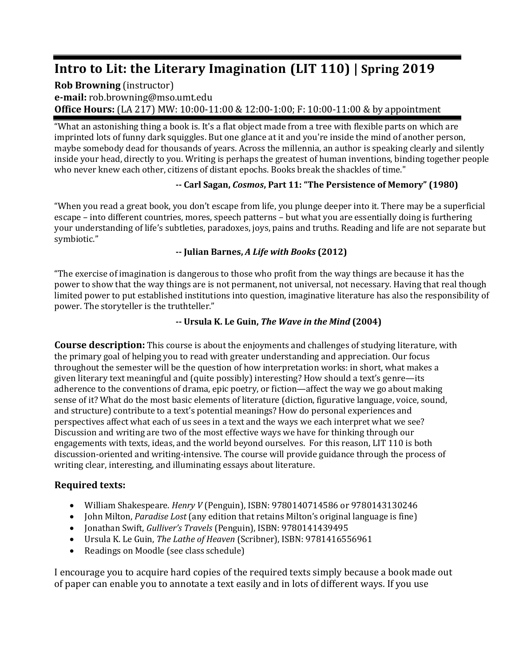## **Intro to Lit: the Literary Imagination (LIT 110) | Spring 2019**

#### **Rob Browning** (instructor) **e-mail:** rob.browning@mso.umt.edu **Office Hours:** (LA 217) MW: 10:00-11:00 & 12:00-1:00; F: 10:00-11:00 & by appointment

"What an astonishing thing a book is. It's a flat object made from a tree with flexible parts on which are imprinted lots of funny dark squiggles. But one glance at it and you're inside the mind of another person, maybe somebody dead for thousands of years. Across the millennia, an author is speaking clearly and silently inside your head, directly to you. Writing is perhaps the greatest of human inventions, binding together people who never knew each other, citizens of distant epochs. Books break the shackles of time."

#### **-- Carl Sagan,** *Cosmos***, Part 11: "The Persistence of Memory" (1980)**

"When you read a great book, you don't escape from life, you plunge deeper into it. There may be a superficial escape – into different countries, mores, speech patterns – but what you are essentially doing is furthering your understanding of life's subtleties, paradoxes, joys, pains and truths. Reading and life are not separate but symbiotic."

#### **-- Julian Barnes,** *A Life with Books* **(2012)**

"The exercise of imagination is dangerous to those who profit from the way things are because it has the power to show that the way things are is not permanent, not universal, not necessary. Having that real though limited power to put established institutions into question, imaginative literature has also the responsibility of power. The storyteller is the truthteller."

#### **-- Ursula K. Le Guin,** *The Wave in the Mind* **(2004)**

**Course description:** This course is about the enjoyments and challenges of studying literature, with the primary goal of helping you to read with greater understanding and appreciation. Our focus throughout the semester will be the question of how interpretation works: in short, what makes a given literary text meaningful and (quite possibly) interesting? How should a text's genre—its adherence to the conventions of drama, epic poetry, or fiction—affect the way we go about making sense of it? What do the most basic elements of literature (diction, figurative language, voice, sound, and structure) contribute to a text's potential meanings? How do personal experiences and perspectives affect what each of us sees in a text and the ways we each interpret what we see? Discussion and writing are two of the most effective ways we have for thinking through our engagements with texts, ideas, and the world beyond ourselves. For this reason, LIT 110 is both discussion-oriented and writing-intensive. The course will provide guidance through the process of writing clear, interesting, and illuminating essays about literature.

#### **Required texts:**

- William Shakespeare. *Henry V* (Penguin), ISBN: 9780140714586 or 9780143130246
- John Milton, *Paradise Lost* (any edition that retains Milton's original language is fine)
- Jonathan Swift, *Gulliver's Travels* (Penguin), ISBN: 9780141439495
- Ursula K. Le Guin, *The Lathe of Heaven* (Scribner), ISBN: 9781416556961
- Readings on Moodle (see class schedule)

I encourage you to acquire hard copies of the required texts simply because a book made out of paper can enable you to annotate a text easily and in lots of different ways. If you use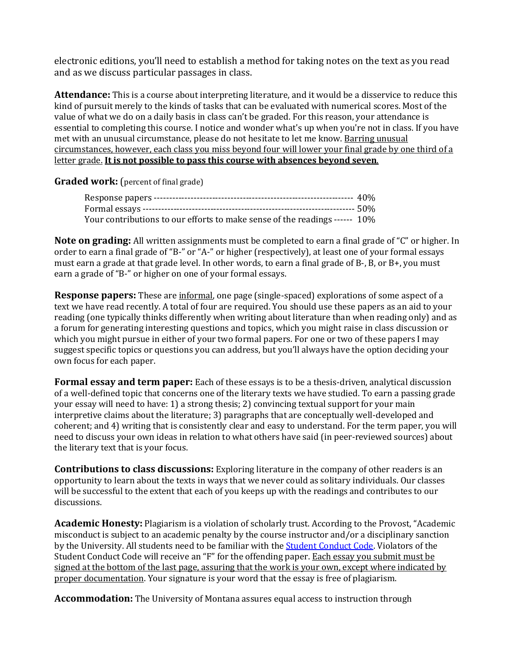electronic editions, you'll need to establish a method for taking notes on the text as you read and as we discuss particular passages in class.

**Attendance:** This is a course about interpreting literature, and it would be a disservice to reduce this kind of pursuit merely to the kinds of tasks that can be evaluated with numerical scores. Most of the value of what we do on a daily basis in class can't be graded. For this reason, your attendance is essential to completing this course. I notice and wonder what's up when you're not in class. If you have met with an unusual circumstance, please do not hesitate to let me know. Barring unusual circumstances, however, each class you miss beyond four will lower your final grade by one third of a letter grade. **It is not possible to pass this course with absences beyond seven**.

**Graded work:** (percent of final grade)

| Your contributions to our efforts to make sense of the readings ------ 10% |  |
|----------------------------------------------------------------------------|--|

**Note on grading:** All written assignments must be completed to earn a final grade of "C" or higher. In order to earn a final grade of "B-" or "A-" or higher (respectively), at least one of your formal essays must earn a grade at that grade level. In other words, to earn a final grade of B-, B, or B+, you must earn a grade of "B-" or higher on one of your formal essays.

**Response papers:** These are informal, one page (single-spaced) explorations of some aspect of a text we have read recently. A total of four are required. You should use these papers as an aid to your reading (one typically thinks differently when writing about literature than when reading only) and as a forum for generating interesting questions and topics, which you might raise in class discussion or which you might pursue in either of your two formal papers. For one or two of these papers I may suggest specific topics or questions you can address, but you'll always have the option deciding your own focus for each paper.

**Formal essay and term paper:** Each of these essays is to be a thesis-driven, analytical discussion of a well-defined topic that concerns one of the literary texts we have studied. To earn a passing grade your essay will need to have: 1) a strong thesis; 2) convincing textual support for your main interpretive claims about the literature; 3) paragraphs that are conceptually well-developed and coherent; and 4) writing that is consistently clear and easy to understand. For the term paper, you will need to discuss your own ideas in relation to what others have said (in peer-reviewed sources) about the literary text that is your focus.

**Contributions to class discussions:** Exploring literature in the company of other readers is an opportunity to learn about the texts in ways that we never could as solitary individuals. Our classes will be successful to the extent that each of you keeps up with the readings and contributes to our discussions.

**Academic Honesty:** Plagiarism is a violation of scholarly trust. According to the Provost, "Academic misconduct is subject to an academic penalty by the course instructor and/or a disciplinary sanction by the University. All students need to be familiar with the [Student Conduct Code.](http://www.umt.edu/student-affairs/dean-of-students/default.php) Violators of the Student Conduct Code will receive an "F" for the offending paper. Each essay you submit must be signed at the bottom of the last page, assuring that the work is your own, except where indicated by proper documentation. Your signature is your word that the essay is free of plagiarism.

**Accommodation:** The University of Montana assures equal access to instruction through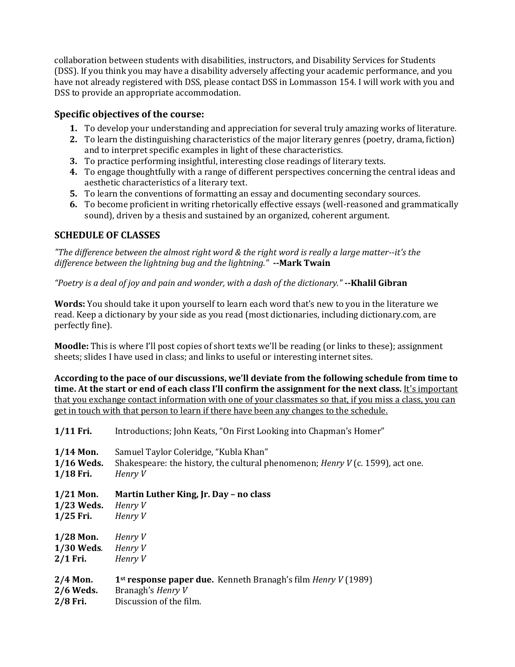collaboration between students with disabilities, instructors, and Disability Services for Students (DSS). If you think you may have a disability adversely affecting your academic performance, and you have not already registered with DSS, please contact DSS in Lommasson 154. I will work with you and DSS to provide an appropriate accommodation.

#### **Specific objectives of the course:**

- **1.** To develop your understanding and appreciation for several truly amazing works of literature.
- **2.** To learn the distinguishing characteristics of the major literary genres (poetry, drama, fiction) and to interpret specific examples in light of these characteristics.
- **3.** To practice performing insightful, interesting close readings of literary texts.
- **4.** To engage thoughtfully with a range of different perspectives concerning the central ideas and aesthetic characteristics of a literary text.
- **5.** To learn the conventions of formatting an essay and documenting secondary sources.
- **6.** To become proficient in writing rhetorically effective essays (well-reasoned and grammatically sound), driven by a thesis and sustained by an organized, coherent argument.

#### **SCHEDULE OF CLASSES**

*"The difference between the almost right word & the right word is really a large matter--it's the difference between the lightning bug and the lightning."* **--Mark Twain**

#### *"Poetry is a deal of joy and pain and wonder, with a dash of the dictionary."* **--Khalil Gibran**

**Words:** You should take it upon yourself to learn each word that's new to you in the literature we read. Keep a dictionary by your side as you read (most dictionaries, including dictionary.com, are perfectly fine).

**Moodle:** This is where I'll post copies of short texts we'll be reading (or links to these); assignment sheets; slides I have used in class; and links to useful or interesting internet sites.

**According to the pace of our discussions, we'll deviate from the following schedule from time to time. At the start or end of each class I'll confirm the assignment for the next class.** It's important that you exchange contact information with one of your classmates so that, if you miss a class, you can get in touch with that person to learn if there have been any changes to the schedule.

| Introductions; John Keats, "On First Looking into Chapman's Homer"                                                                        |
|-------------------------------------------------------------------------------------------------------------------------------------------|
| Samuel Taylor Coleridge, "Kubla Khan"<br>Shakespeare: the history, the cultural phenomenon; <i>Henry V</i> (c. 1599), act one.<br>Henry V |
| Martin Luther King, Jr. Day - no class<br>Henry V<br>Henry V                                                                              |
| Henry V<br>Henry V<br>Henry V                                                                                                             |
| 1 <sup>st</sup> response paper due. Kenneth Branagh's film <i>Henry V</i> (1989)<br>Branagh's <i>Henry V</i><br>Discussion of the film.   |
|                                                                                                                                           |